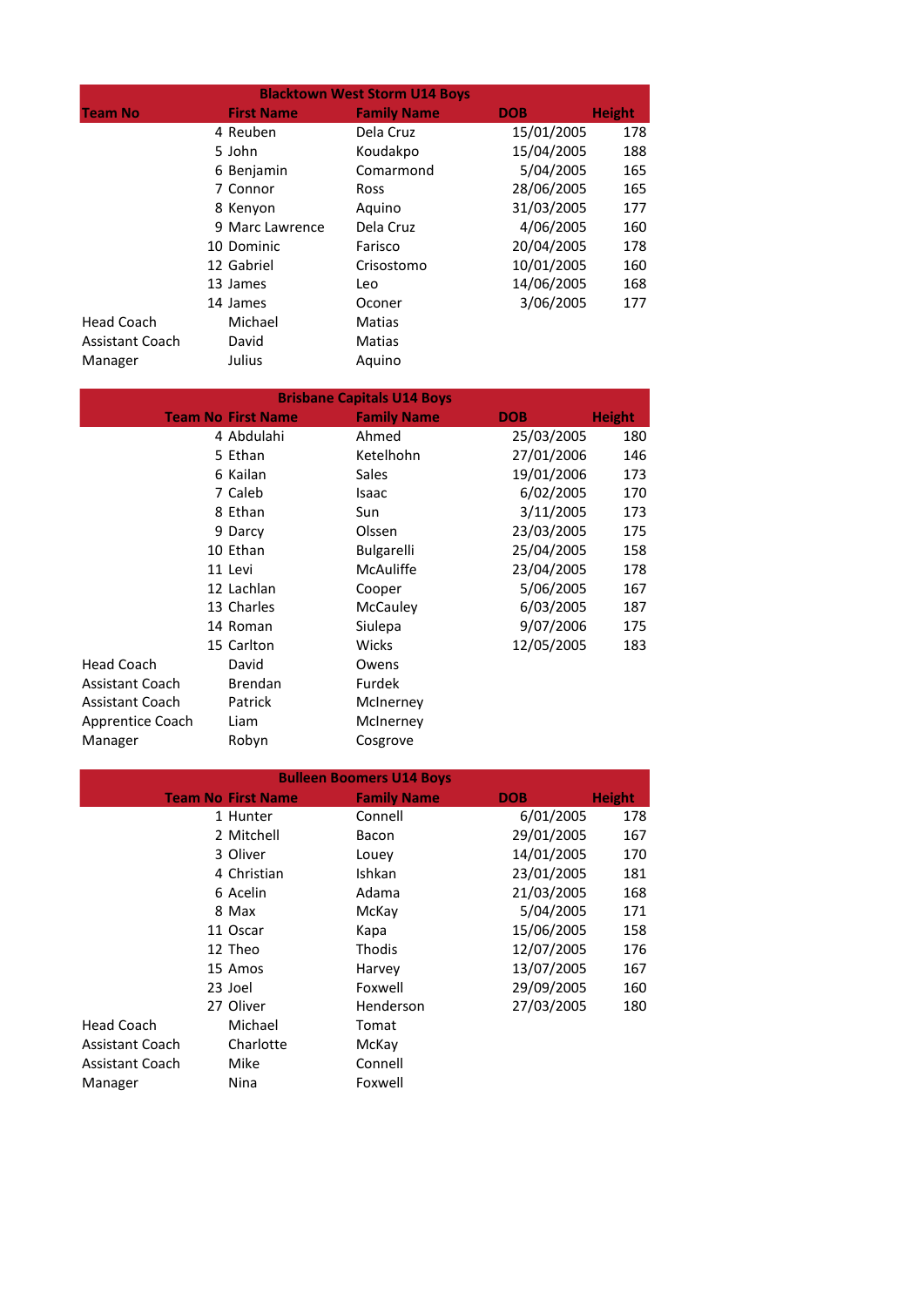|                        | <b>Blacktown West Storm U14 Boys</b> |                    |            |               |
|------------------------|--------------------------------------|--------------------|------------|---------------|
| <b>Team No</b>         | <b>First Name</b>                    | <b>Family Name</b> | <b>DOB</b> | <b>Height</b> |
|                        | 4 Reuben                             | Dela Cruz          | 15/01/2005 | 178           |
|                        | 5 John                               | Koudakpo           | 15/04/2005 | 188           |
|                        | 6 Benjamin                           | Comarmond          | 5/04/2005  | 165           |
|                        | 7 Connor                             | <b>Ross</b>        | 28/06/2005 | 165           |
|                        | 8 Kenyon                             | Aquino             | 31/03/2005 | 177           |
|                        | 9 Marc Lawrence                      | Dela Cruz          | 4/06/2005  | 160           |
|                        | 10 Dominic                           | Farisco            | 20/04/2005 | 178           |
|                        | 12 Gabriel                           | Crisostomo         | 10/01/2005 | 160           |
|                        | 13 James                             | Leo                | 14/06/2005 | 168           |
|                        | 14 James                             | Oconer             | 3/06/2005  | 177           |
| <b>Head Coach</b>      | Michael                              | Matias             |            |               |
| <b>Assistant Coach</b> | David                                | Matias             |            |               |
| Manager                | Julius                               | Aquino             |            |               |

| <b>Brisbane Capitals U14 Boys</b> |  |                           |                    |            |               |
|-----------------------------------|--|---------------------------|--------------------|------------|---------------|
|                                   |  | <b>Team No First Name</b> | <b>Family Name</b> | <b>DOB</b> | <b>Height</b> |
|                                   |  | 4 Abdulahi                | Ahmed              | 25/03/2005 | 180           |
|                                   |  | 5 Ethan                   | Ketelhohn          | 27/01/2006 | 146           |
|                                   |  | 6 Kailan                  | <b>Sales</b>       | 19/01/2006 | 173           |
|                                   |  | 7 Caleb                   | Isaac              | 6/02/2005  | 170           |
|                                   |  | 8 Ethan                   | Sun                | 3/11/2005  | 173           |
|                                   |  | 9 Darcy                   | Olssen             | 23/03/2005 | 175           |
|                                   |  | 10 Ethan                  | <b>Bulgarelli</b>  | 25/04/2005 | 158           |
|                                   |  | 11 Levi                   | <b>McAuliffe</b>   | 23/04/2005 | 178           |
|                                   |  | 12 Lachlan                | Cooper             | 5/06/2005  | 167           |
|                                   |  | 13 Charles                | McCauley           | 6/03/2005  | 187           |
|                                   |  | 14 Roman                  | Siulepa            | 9/07/2006  | 175           |
|                                   |  | 15 Carlton                | Wicks              | 12/05/2005 | 183           |
| <b>Head Coach</b>                 |  | David                     | Owens              |            |               |
| <b>Assistant Coach</b>            |  | <b>Brendan</b>            | Furdek             |            |               |
| Assistant Coach                   |  | Patrick                   | McInerney          |            |               |
| Apprentice Coach                  |  | Liam                      | McInerney          |            |               |
| Manager                           |  | Robyn                     | Cosgrove           |            |               |

| <b>Bulleen Boomers U14 Boys</b> |                           |                    |            |               |  |
|---------------------------------|---------------------------|--------------------|------------|---------------|--|
|                                 | <b>Team No First Name</b> | <b>Family Name</b> | <b>DOB</b> | <b>Height</b> |  |
|                                 | 1 Hunter                  | Connell            | 6/01/2005  | 178           |  |
|                                 | 2 Mitchell                | Bacon              | 29/01/2005 | 167           |  |
|                                 | 3 Oliver                  | Louey              | 14/01/2005 | 170           |  |
|                                 | 4 Christian               | Ishkan             | 23/01/2005 | 181           |  |
|                                 | 6 Acelin                  | Adama              | 21/03/2005 | 168           |  |
|                                 | 8 Max                     | McKay              | 5/04/2005  | 171           |  |
|                                 | 11 Oscar                  | Kapa               | 15/06/2005 | 158           |  |
|                                 | 12 Theo                   | Thodis             | 12/07/2005 | 176           |  |
|                                 | 15 Amos                   | Harvey             | 13/07/2005 | 167           |  |
|                                 | 23 Joel                   | Foxwell            | 29/09/2005 | 160           |  |
|                                 | 27 Oliver                 | Henderson          | 27/03/2005 | 180           |  |
| <b>Head Coach</b>               | Michael                   | Tomat              |            |               |  |
| <b>Assistant Coach</b>          | Charlotte                 | McKay              |            |               |  |
| <b>Assistant Coach</b>          | Mike                      | Connell            |            |               |  |
| Manager                         | Nina                      | Foxwell            |            |               |  |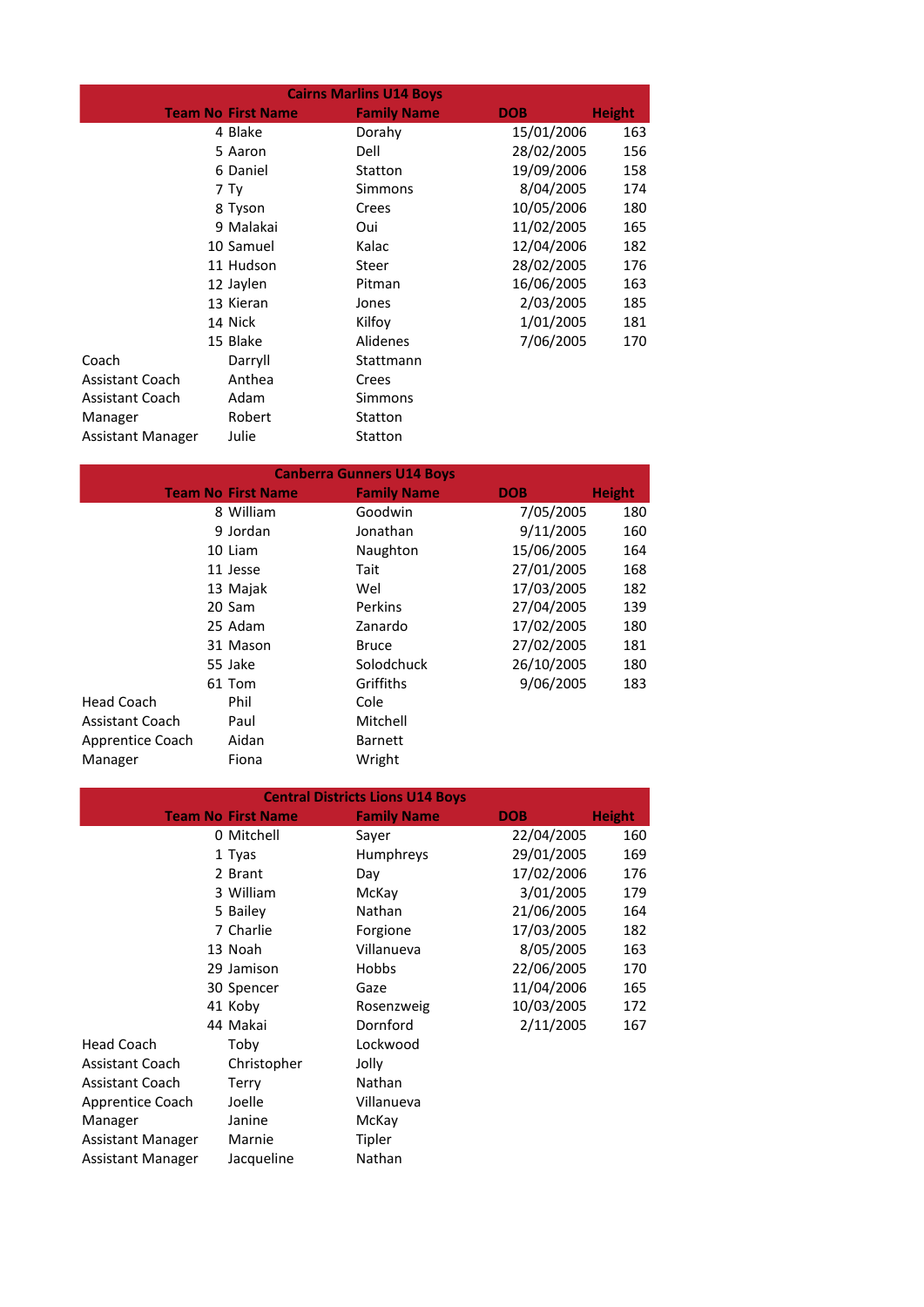| <b>Cairns Marlins U14 Boys</b> |  |                           |                    |            |               |
|--------------------------------|--|---------------------------|--------------------|------------|---------------|
|                                |  | <b>Team No First Name</b> | <b>Family Name</b> | <b>DOB</b> | <b>Height</b> |
|                                |  | 4 Blake                   | Dorahy             | 15/01/2006 | 163           |
|                                |  | 5 Aaron                   | Dell               | 28/02/2005 | 156           |
|                                |  | 6 Daniel                  | Statton            | 19/09/2006 | 158           |
|                                |  | 7 Tv                      | Simmons            | 8/04/2005  | 174           |
|                                |  | 8 Tyson                   | Crees              | 10/05/2006 | 180           |
|                                |  | 9 Malakai                 | Oui                | 11/02/2005 | 165           |
|                                |  | 10 Samuel                 | Kalac              | 12/04/2006 | 182           |
|                                |  | 11 Hudson                 | Steer              | 28/02/2005 | 176           |
|                                |  | 12 Jaylen                 | Pitman             | 16/06/2005 | 163           |
|                                |  | 13 Kieran                 | Jones              | 2/03/2005  | 185           |
|                                |  | 14 Nick                   | Kilfov             | 1/01/2005  | 181           |
|                                |  | 15 Blake                  | Alidenes           | 7/06/2005  | 170           |
| Coach                          |  | Darryll                   | Stattmann          |            |               |
| <b>Assistant Coach</b>         |  | Anthea                    | Crees              |            |               |
| <b>Assistant Coach</b>         |  | Adam                      | Simmons            |            |               |
| Manager                        |  | Robert                    | Statton            |            |               |
| Assistant Manager              |  | Julie                     | Statton            |            |               |

| <b>Canberra Gunners U14 Boys</b> |  |                           |                    |            |               |
|----------------------------------|--|---------------------------|--------------------|------------|---------------|
|                                  |  | <b>Team No First Name</b> | <b>Family Name</b> | <b>DOB</b> | <b>Height</b> |
|                                  |  | 8 William                 | Goodwin            | 7/05/2005  | 180           |
|                                  |  | 9 Jordan                  | Jonathan           | 9/11/2005  | 160           |
|                                  |  | 10 Liam                   | Naughton           | 15/06/2005 | 164           |
|                                  |  | 11 Jesse                  | Tait               | 27/01/2005 | 168           |
|                                  |  | 13 Majak                  | Wel                | 17/03/2005 | 182           |
|                                  |  | 20 Sam                    | Perkins            | 27/04/2005 | 139           |
|                                  |  | 25 Adam                   | Zanardo            | 17/02/2005 | 180           |
|                                  |  | 31 Mason                  | <b>Bruce</b>       | 27/02/2005 | 181           |
|                                  |  | 55 Jake                   | Solodchuck         | 26/10/2005 | 180           |
|                                  |  | 61 Tom                    | Griffiths          | 9/06/2005  | 183           |
| Head Coach                       |  | Phil                      | Cole               |            |               |
| <b>Assistant Coach</b>           |  | Paul                      | Mitchell           |            |               |
| Apprentice Coach                 |  | Aidan                     | <b>Barnett</b>     |            |               |
| Manager                          |  | Fiona                     | Wright             |            |               |

|                        |                           | <b>Central Districts Lions U14 Boys</b> |            |               |  |  |
|------------------------|---------------------------|-----------------------------------------|------------|---------------|--|--|
|                        | <b>Team No First Name</b> | <b>Family Name</b>                      | <b>DOB</b> | <b>Height</b> |  |  |
|                        | 0 Mitchell                | Sayer                                   | 22/04/2005 | 160           |  |  |
|                        | 1 Tyas                    | <b>Humphreys</b>                        | 29/01/2005 | 169           |  |  |
|                        | 2 Brant                   | Day                                     | 17/02/2006 | 176           |  |  |
|                        | 3 William                 | McKay                                   | 3/01/2005  | 179           |  |  |
|                        | 5 Bailey                  | Nathan                                  | 21/06/2005 | 164           |  |  |
|                        | 7 Charlie                 | Forgione                                | 17/03/2005 | 182           |  |  |
|                        | 13 Noah                   | Villanueva                              | 8/05/2005  | 163           |  |  |
|                        | 29 Jamison                | Hobbs                                   | 22/06/2005 | 170           |  |  |
|                        | 30 Spencer                | Gaze                                    | 11/04/2006 | 165           |  |  |
|                        | 41 Koby                   | Rosenzweig                              | 10/03/2005 | 172           |  |  |
|                        | 44 Makai                  | Dornford                                | 2/11/2005  | 167           |  |  |
| <b>Head Coach</b>      | Toby                      | Lockwood                                |            |               |  |  |
| <b>Assistant Coach</b> | Christopher               | Jolly                                   |            |               |  |  |
| <b>Assistant Coach</b> | Terry                     | Nathan                                  |            |               |  |  |
| Apprentice Coach       | Joelle                    | Villanueva                              |            |               |  |  |
| Manager                | Janine                    | McKay                                   |            |               |  |  |
| Assistant Manager      | Marnie                    | Tipler                                  |            |               |  |  |
| Assistant Manager      | Jacqueline                | Nathan                                  |            |               |  |  |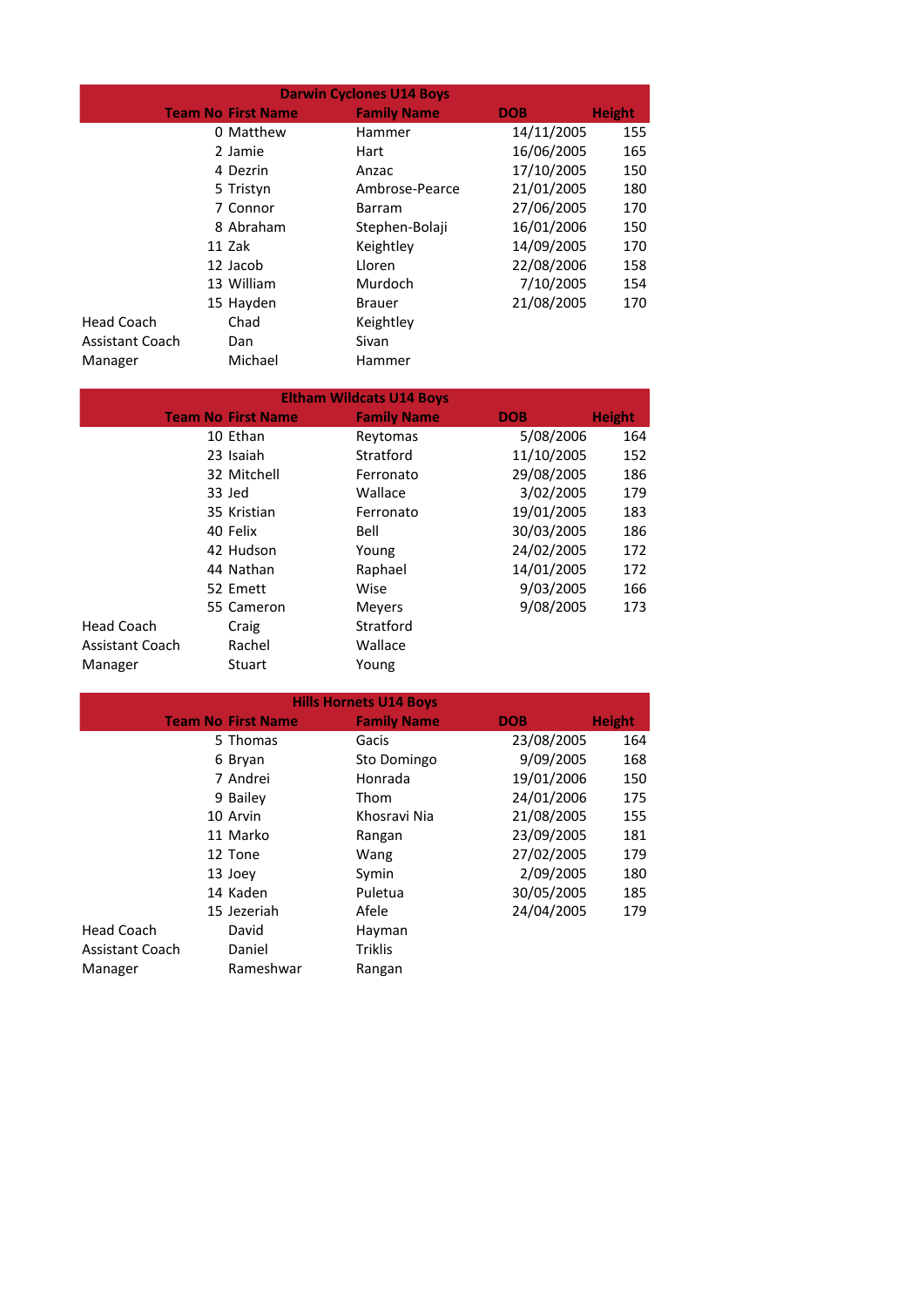| <b>Darwin Cyclones U14 Boys</b> |                           |                    |            |               |  |
|---------------------------------|---------------------------|--------------------|------------|---------------|--|
|                                 | <b>Team No First Name</b> | <b>Family Name</b> | <b>DOB</b> | <b>Height</b> |  |
|                                 | 0 Matthew                 | Hammer             | 14/11/2005 | 155           |  |
|                                 | 2 Jamie                   | Hart               | 16/06/2005 | 165           |  |
|                                 | 4 Dezrin                  | Anzac              | 17/10/2005 | 150           |  |
|                                 | 5 Tristyn                 | Ambrose-Pearce     | 21/01/2005 | 180           |  |
|                                 | 7 Connor                  | Barram             | 27/06/2005 | 170           |  |
|                                 | 8 Abraham                 | Stephen-Bolaji     | 16/01/2006 | 150           |  |
|                                 | 11 Zak                    | Keightley          | 14/09/2005 | 170           |  |
|                                 | 12 Jacob                  | Lloren             | 22/08/2006 | 158           |  |
|                                 | 13 William                | Murdoch            | 7/10/2005  | 154           |  |
|                                 | 15 Hayden                 | <b>Brauer</b>      | 21/08/2005 | 170           |  |
| <b>Head Coach</b>               | Chad                      | Keightley          |            |               |  |
| <b>Assistant Coach</b>          | Dan                       | Sivan              |            |               |  |
| Manager                         | Michael                   | Hammer             |            |               |  |

| <b>Eltham Wildcats U14 Boys</b> |  |                           |                    |            |               |  |
|---------------------------------|--|---------------------------|--------------------|------------|---------------|--|
|                                 |  | <b>Team No First Name</b> | <b>Family Name</b> | <b>DOB</b> | <b>Height</b> |  |
|                                 |  | 10 Ethan                  | Reytomas           | 5/08/2006  | 164           |  |
|                                 |  | 23 Isaiah                 | Stratford          | 11/10/2005 | 152           |  |
|                                 |  | 32 Mitchell               | Ferronato          | 29/08/2005 | 186           |  |
|                                 |  | 33 Jed                    | Wallace            | 3/02/2005  | 179           |  |
|                                 |  | 35 Kristian               | Ferronato          | 19/01/2005 | 183           |  |
|                                 |  | 40 Felix                  | Bell               | 30/03/2005 | 186           |  |
|                                 |  | 42 Hudson                 | Young              | 24/02/2005 | 172           |  |
|                                 |  | 44 Nathan                 | Raphael            | 14/01/2005 | 172           |  |
|                                 |  | 52 Emett                  | Wise               | 9/03/2005  | 166           |  |
|                                 |  | 55 Cameron                | Meyers             | 9/08/2005  | 173           |  |
| <b>Head Coach</b>               |  | Craig                     | Stratford          |            |               |  |
| <b>Assistant Coach</b>          |  | Rachel                    | Wallace            |            |               |  |
| Manager                         |  | Stuart                    | Young              |            |               |  |

| <b>Hills Hornets U14 Boys</b> |                           |                    |            |               |  |
|-------------------------------|---------------------------|--------------------|------------|---------------|--|
|                               | <b>Team No First Name</b> | <b>Family Name</b> | <b>DOB</b> | <b>Height</b> |  |
|                               | 5 Thomas                  | Gacis              | 23/08/2005 | 164           |  |
|                               | 6 Bryan                   | Sto Domingo        | 9/09/2005  | 168           |  |
|                               | 7 Andrei                  | Honrada            | 19/01/2006 | 150           |  |
|                               | 9 Bailey                  | Thom               | 24/01/2006 | 175           |  |
|                               | 10 Arvin                  | Khosravi Nia       | 21/08/2005 | 155           |  |
|                               | 11 Marko                  | Rangan             | 23/09/2005 | 181           |  |
|                               | 12 Tone                   | Wang               | 27/02/2005 | 179           |  |
|                               | 13 Joev                   | Symin              | 2/09/2005  | 180           |  |
|                               | 14 Kaden                  | Puletua            | 30/05/2005 | 185           |  |
|                               | 15 Jezeriah               | Afele              | 24/04/2005 | 179           |  |
| Head Coach                    | David                     | Hayman             |            |               |  |
| <b>Assistant Coach</b>        | Daniel                    | <b>Triklis</b>     |            |               |  |
| Manager                       | Rameshwar                 | Rangan             |            |               |  |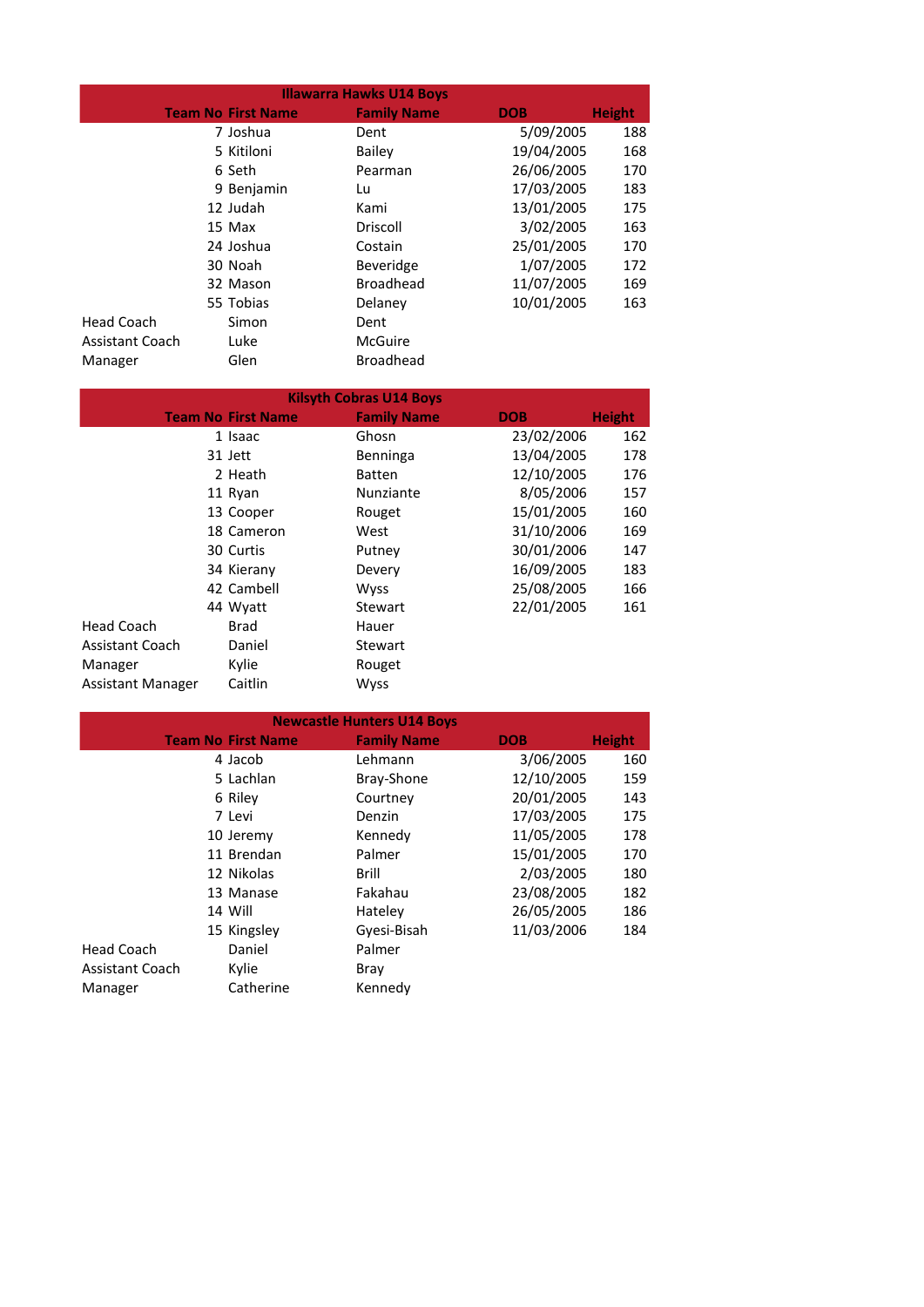| <b>Illawarra Hawks U14 Boys</b> |                           |                    |            |               |  |
|---------------------------------|---------------------------|--------------------|------------|---------------|--|
|                                 | <b>Team No First Name</b> | <b>Family Name</b> | <b>DOB</b> | <b>Height</b> |  |
|                                 | 7 Joshua                  | Dent               | 5/09/2005  | 188           |  |
|                                 | 5 Kitiloni                | Bailey             | 19/04/2005 | 168           |  |
|                                 | 6 Seth                    | Pearman            | 26/06/2005 | 170           |  |
|                                 | 9 Benjamin                | Lu                 | 17/03/2005 | 183           |  |
|                                 | 12 Judah                  | Kami               | 13/01/2005 | 175           |  |
|                                 | 15 Max                    | Driscoll           | 3/02/2005  | 163           |  |
|                                 | 24 Joshua                 | Costain            | 25/01/2005 | 170           |  |
|                                 | 30 Noah                   | <b>Beveridge</b>   | 1/07/2005  | 172           |  |
|                                 | 32 Mason                  | <b>Broadhead</b>   | 11/07/2005 | 169           |  |
|                                 | 55 Tobias                 | Delaney            | 10/01/2005 | 163           |  |
| Head Coach                      | Simon                     | Dent               |            |               |  |
| <b>Assistant Coach</b>          | Luke                      | McGuire            |            |               |  |
| Manager                         | Glen                      | <b>Broadhead</b>   |            |               |  |

| <b>Kilsyth Cobras U14 Boys</b> |  |                           |                    |            |               |
|--------------------------------|--|---------------------------|--------------------|------------|---------------|
|                                |  | <b>Team No First Name</b> | <b>Family Name</b> | <b>DOB</b> | <b>Height</b> |
|                                |  | 1 Isaac                   | Ghosn              | 23/02/2006 | 162           |
|                                |  | 31 Jett                   | Benninga           | 13/04/2005 | 178           |
|                                |  | 2 Heath                   | <b>Batten</b>      | 12/10/2005 | 176           |
|                                |  | 11 Ryan                   | Nunziante          | 8/05/2006  | 157           |
|                                |  | 13 Cooper                 | Rouget             | 15/01/2005 | 160           |
|                                |  | 18 Cameron                | West               | 31/10/2006 | 169           |
|                                |  | 30 Curtis                 | Putney             | 30/01/2006 | 147           |
|                                |  | 34 Kierany                | Devery             | 16/09/2005 | 183           |
|                                |  | 42 Cambell                | <b>Wyss</b>        | 25/08/2005 | 166           |
|                                |  | 44 Wyatt                  | Stewart            | 22/01/2005 | 161           |
| Head Coach                     |  | Brad                      | Hauer              |            |               |
| <b>Assistant Coach</b>         |  | Daniel                    | Stewart            |            |               |
| Manager                        |  | Kylie                     | Rouget             |            |               |
| Assistant Manager              |  | Caitlin                   | <b>Wyss</b>        |            |               |

| <b>Newcastle Hunters U14 Boys</b> |                           |                    |            |               |  |
|-----------------------------------|---------------------------|--------------------|------------|---------------|--|
|                                   | <b>Team No First Name</b> | <b>Family Name</b> | <b>DOB</b> | <b>Height</b> |  |
|                                   | 4 Jacob                   | Lehmann            | 3/06/2005  | 160           |  |
|                                   | 5 Lachlan                 | Bray-Shone         | 12/10/2005 | 159           |  |
|                                   | 6 Riley                   | Courtney           | 20/01/2005 | 143           |  |
|                                   | 7 Levi                    | Denzin             | 17/03/2005 | 175           |  |
|                                   | 10 Jeremy                 | Kennedy            | 11/05/2005 | 178           |  |
|                                   | 11 Brendan                | Palmer             | 15/01/2005 | 170           |  |
|                                   | 12 Nikolas                | Brill              | 2/03/2005  | 180           |  |
|                                   | 13 Manase                 | Fakahau            | 23/08/2005 | 182           |  |
|                                   | 14 Will                   | Hateley            | 26/05/2005 | 186           |  |
|                                   | 15 Kingsley               | Gyesi-Bisah        | 11/03/2006 | 184           |  |
| Head Coach                        | Daniel                    | Palmer             |            |               |  |
| <b>Assistant Coach</b>            | Kylie                     | Bray               |            |               |  |
| Manager                           | Catherine                 | Kennedy            |            |               |  |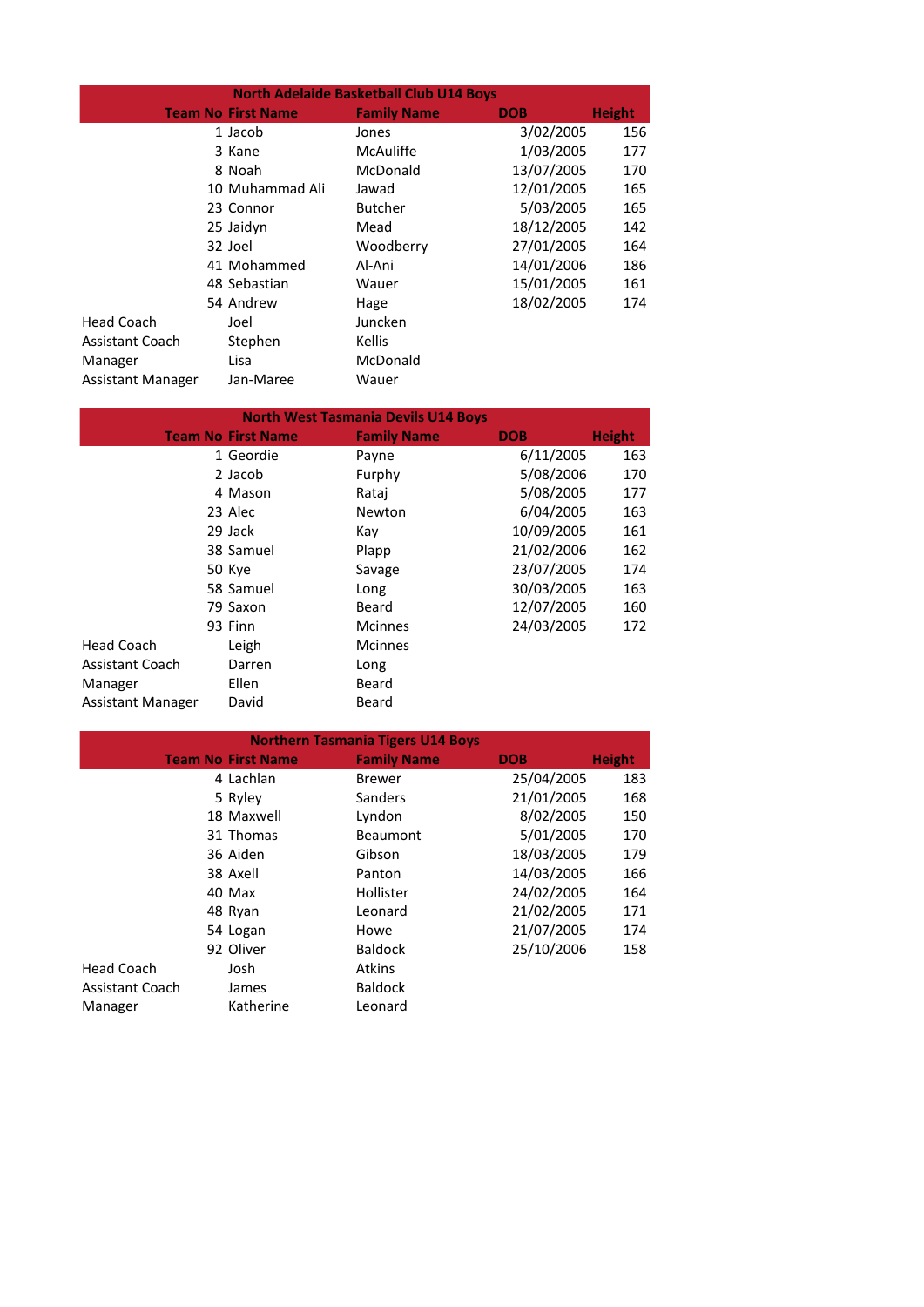| <b>North Adelaide Basketball Club U14 Boys</b> |  |                           |                    |            |               |
|------------------------------------------------|--|---------------------------|--------------------|------------|---------------|
|                                                |  | <b>Team No First Name</b> | <b>Family Name</b> | <b>DOB</b> | <b>Height</b> |
|                                                |  | 1 Jacob                   | Jones              | 3/02/2005  | 156           |
|                                                |  | 3 Kane                    | McAuliffe          | 1/03/2005  | 177           |
|                                                |  | 8 Noah                    | McDonald           | 13/07/2005 | 170           |
|                                                |  | 10 Muhammad Ali           | Jawad              | 12/01/2005 | 165           |
|                                                |  | 23 Connor                 | <b>Butcher</b>     | 5/03/2005  | 165           |
|                                                |  | 25 Jaidyn                 | Mead               | 18/12/2005 | 142           |
|                                                |  | 32 Joel                   | Woodberry          | 27/01/2005 | 164           |
|                                                |  | 41 Mohammed               | Al-Ani             | 14/01/2006 | 186           |
|                                                |  | 48 Sebastian              | Wauer              | 15/01/2005 | 161           |
|                                                |  | 54 Andrew                 | Hage               | 18/02/2005 | 174           |
| Head Coach                                     |  | Joel                      | Juncken            |            |               |
| <b>Assistant Coach</b>                         |  | Stephen                   | Kellis             |            |               |
| Manager                                        |  | Lisa                      | McDonald           |            |               |
| Assistant Manager                              |  | Jan-Maree                 | Wauer              |            |               |

|                          |                           | <b>North West Tasmania Devils U14 Boys</b> |            |               |
|--------------------------|---------------------------|--------------------------------------------|------------|---------------|
|                          | <b>Team No First Name</b> | <b>Family Name</b>                         | <b>DOB</b> | <b>Height</b> |
|                          | 1 Geordie                 | Payne                                      | 6/11/2005  | 163           |
|                          | 2 Jacob                   | Furphy                                     | 5/08/2006  | 170           |
|                          | 4 Mason                   | Ratai                                      | 5/08/2005  | 177           |
|                          | 23 Alec                   | Newton                                     | 6/04/2005  | 163           |
|                          | 29 Jack                   | Kay                                        | 10/09/2005 | 161           |
|                          | 38 Samuel                 | Plapp                                      | 21/02/2006 | 162           |
|                          | 50 Kye                    | Savage                                     | 23/07/2005 | 174           |
|                          | 58 Samuel                 | Long                                       | 30/03/2005 | 163           |
|                          | 79 Saxon                  | Beard                                      | 12/07/2005 | 160           |
|                          | 93 Finn                   | <b>Mcinnes</b>                             | 24/03/2005 | 172           |
| <b>Head Coach</b>        | Leigh                     | <b>Mcinnes</b>                             |            |               |
| <b>Assistant Coach</b>   | Darren                    | Long                                       |            |               |
| Manager                  | Ellen                     | Beard                                      |            |               |
| <b>Assistant Manager</b> | David                     | Beard                                      |            |               |

|                        |                           | <b>Northern Tasmania Tigers U14 Boys</b> |            |               |
|------------------------|---------------------------|------------------------------------------|------------|---------------|
|                        | <b>Team No First Name</b> | <b>Family Name</b>                       | <b>DOB</b> | <b>Height</b> |
|                        | 4 Lachlan                 | <b>Brewer</b>                            | 25/04/2005 | 183           |
|                        | 5 Ryley                   | Sanders                                  | 21/01/2005 | 168           |
|                        | 18 Maxwell                | Lyndon                                   | 8/02/2005  | 150           |
|                        | 31 Thomas                 | <b>Beaumont</b>                          | 5/01/2005  | 170           |
|                        | 36 Aiden                  | Gibson                                   | 18/03/2005 | 179           |
|                        | 38 Axell                  | Panton                                   | 14/03/2005 | 166           |
|                        | 40 Max                    | Hollister                                | 24/02/2005 | 164           |
|                        | 48 Ryan                   | Leonard                                  | 21/02/2005 | 171           |
|                        | 54 Logan                  | Howe                                     | 21/07/2005 | 174           |
|                        | 92 Oliver                 | <b>Baldock</b>                           | 25/10/2006 | 158           |
| Head Coach             | Josh                      | <b>Atkins</b>                            |            |               |
| <b>Assistant Coach</b> | James                     | <b>Baldock</b>                           |            |               |
| Manager                | Katherine                 | Leonard                                  |            |               |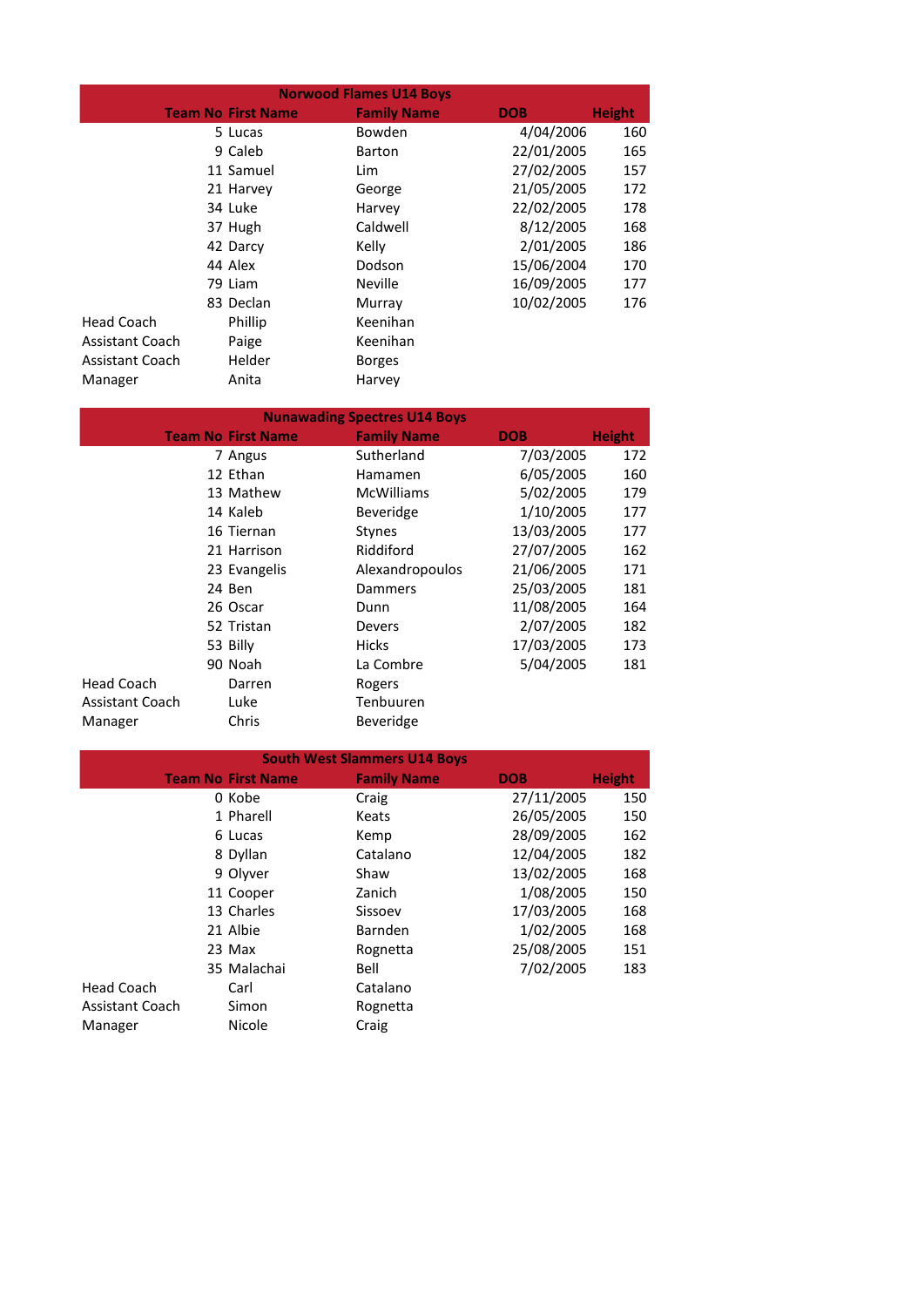| <b>Norwood Flames U14 Boys</b> |  |                           |                    |            |               |
|--------------------------------|--|---------------------------|--------------------|------------|---------------|
|                                |  | <b>Team No First Name</b> | <b>Family Name</b> | <b>DOB</b> | <b>Height</b> |
|                                |  | 5 Lucas                   | Bowden             | 4/04/2006  | 160           |
|                                |  | 9 Caleb                   | <b>Barton</b>      | 22/01/2005 | 165           |
|                                |  | 11 Samuel                 | Lim                | 27/02/2005 | 157           |
|                                |  | 21 Harvey                 | George             | 21/05/2005 | 172           |
|                                |  | 34 Luke                   | Harvey             | 22/02/2005 | 178           |
|                                |  | 37 Hugh                   | Caldwell           | 8/12/2005  | 168           |
|                                |  | 42 Darcy                  | Kelly              | 2/01/2005  | 186           |
|                                |  | 44 Alex                   | Dodson             | 15/06/2004 | 170           |
|                                |  | 79 Liam                   | <b>Neville</b>     | 16/09/2005 | 177           |
|                                |  | 83 Declan                 | Murray             | 10/02/2005 | 176           |
| Head Coach                     |  | Phillip                   | Keenihan           |            |               |
| Assistant Coach                |  | Paige                     | Keenihan           |            |               |
| <b>Assistant Coach</b>         |  | Helder                    | <b>Borges</b>      |            |               |
| Manager                        |  | Anita                     | Harvey             |            |               |

| <b>Nunawading Spectres U14 Boys</b> |                           |                    |            |               |  |
|-------------------------------------|---------------------------|--------------------|------------|---------------|--|
|                                     | <b>Team No First Name</b> | <b>Family Name</b> | <b>DOB</b> | <b>Height</b> |  |
|                                     | 7 Angus                   | Sutherland         | 7/03/2005  | 172           |  |
|                                     | 12 Ethan                  | Hamamen            | 6/05/2005  | 160           |  |
|                                     | 13 Mathew                 | <b>McWilliams</b>  | 5/02/2005  | 179           |  |
|                                     | 14 Kaleb                  | <b>Beveridge</b>   | 1/10/2005  | 177           |  |
|                                     | 16 Tiernan                | <b>Stynes</b>      | 13/03/2005 | 177           |  |
|                                     | 21 Harrison               | Riddiford          | 27/07/2005 | 162           |  |
|                                     | 23 Evangelis              | Alexandropoulos    | 21/06/2005 | 171           |  |
|                                     | 24 Ben                    | Dammers            | 25/03/2005 | 181           |  |
|                                     | 26 Oscar                  | Dunn               | 11/08/2005 | 164           |  |
|                                     | 52 Tristan                | <b>Devers</b>      | 2/07/2005  | 182           |  |
|                                     | 53 Billy                  | <b>Hicks</b>       | 17/03/2005 | 173           |  |
|                                     | 90 Noah                   | La Combre          | 5/04/2005  | 181           |  |
| Head Coach                          | Darren                    | Rogers             |            |               |  |
| <b>Assistant Coach</b>              | Luke                      | Tenbuuren          |            |               |  |
| Manager                             | Chris                     | <b>Beveridge</b>   |            |               |  |

| <b>South West Slammers U14 Boys</b> |                           |                    |            |               |
|-------------------------------------|---------------------------|--------------------|------------|---------------|
|                                     | <b>Team No First Name</b> | <b>Family Name</b> | <b>DOB</b> | <b>Height</b> |
|                                     | 0 Kobe                    | Craig              | 27/11/2005 | 150           |
|                                     | 1 Pharell                 | Keats              | 26/05/2005 | 150           |
|                                     | 6 Lucas                   | Kemp               | 28/09/2005 | 162           |
|                                     | 8 Dyllan                  | Catalano           | 12/04/2005 | 182           |
|                                     | 9 Olyver                  | Shaw               | 13/02/2005 | 168           |
|                                     | 11 Cooper                 | Zanich             | 1/08/2005  | 150           |
|                                     | 13 Charles                | Sissoev            | 17/03/2005 | 168           |
|                                     | 21 Albie                  | Barnden            | 1/02/2005  | 168           |
|                                     | 23 Max                    | Rognetta           | 25/08/2005 | 151           |
|                                     | 35 Malachai               | Bell               | 7/02/2005  | 183           |
| Head Coach                          | Carl                      | Catalano           |            |               |
| <b>Assistant Coach</b>              | Simon                     | Rognetta           |            |               |
| Manager                             | Nicole                    | Craig              |            |               |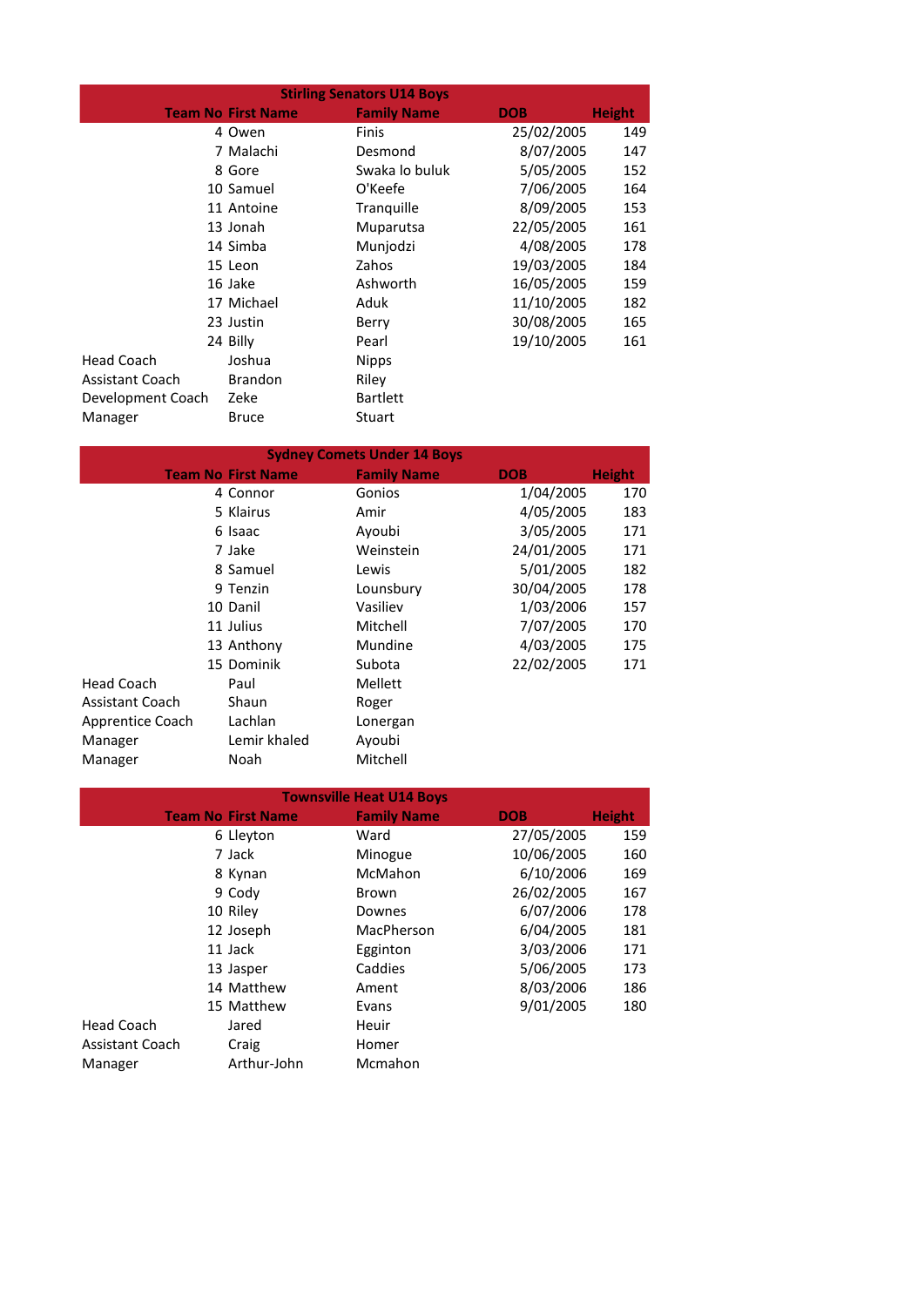| <b>Stirling Senators U14 Boys</b> |                           |                    |            |               |
|-----------------------------------|---------------------------|--------------------|------------|---------------|
|                                   | <b>Team No First Name</b> | <b>Family Name</b> | <b>DOB</b> | <b>Height</b> |
|                                   | 4 Owen                    | <b>Finis</b>       | 25/02/2005 | 149           |
|                                   | 7 Malachi                 | Desmond            | 8/07/2005  | 147           |
|                                   | 8 Gore                    | Swaka lo buluk     | 5/05/2005  | 152           |
|                                   | 10 Samuel                 | O'Keefe            | 7/06/2005  | 164           |
|                                   | 11 Antoine                | Tranguille         | 8/09/2005  | 153           |
|                                   | 13 Jonah                  | Muparutsa          | 22/05/2005 | 161           |
|                                   | 14 Simba                  | Munjodzi           | 4/08/2005  | 178           |
|                                   | 15 Leon                   | Zahos              | 19/03/2005 | 184           |
|                                   | 16 Jake                   | Ashworth           | 16/05/2005 | 159           |
|                                   | 17 Michael                | Aduk               | 11/10/2005 | 182           |
|                                   | 23 Justin                 | Berry              | 30/08/2005 | 165           |
|                                   | 24 Billy                  | Pearl              | 19/10/2005 | 161           |
| Head Coach                        | Joshua                    | <b>Nipps</b>       |            |               |
| <b>Assistant Coach</b>            | <b>Brandon</b>            | Riley              |            |               |
| Development Coach                 | Zeke                      | <b>Bartlett</b>    |            |               |
| Manager                           | <b>Bruce</b>              | Stuart             |            |               |

| <b>Sydney Comets Under 14 Boys</b> |  |                           |                    |            |               |
|------------------------------------|--|---------------------------|--------------------|------------|---------------|
|                                    |  | <b>Team No First Name</b> | <b>Family Name</b> | <b>DOB</b> | <b>Height</b> |
|                                    |  | 4 Connor                  | Gonios             | 1/04/2005  | 170           |
|                                    |  | 5 Klairus                 | Amir               | 4/05/2005  | 183           |
|                                    |  | 6 Isaac                   | Ayoubi             | 3/05/2005  | 171           |
|                                    |  | 7 Jake                    | Weinstein          | 24/01/2005 | 171           |
|                                    |  | 8 Samuel                  | Lewis              | 5/01/2005  | 182           |
|                                    |  | 9 Tenzin                  | Lounsbury          | 30/04/2005 | 178           |
|                                    |  | 10 Danil                  | Vasiliev           | 1/03/2006  | 157           |
|                                    |  | 11 Julius                 | Mitchell           | 7/07/2005  | 170           |
|                                    |  | 13 Anthony                | Mundine            | 4/03/2005  | 175           |
|                                    |  | 15 Dominik                | Subota             | 22/02/2005 | 171           |
| Head Coach                         |  | Paul                      | Mellett            |            |               |
| <b>Assistant Coach</b>             |  | Shaun                     | Roger              |            |               |
| Apprentice Coach                   |  | Lachlan                   | Lonergan           |            |               |
| Manager                            |  | Lemir khaled              | Ayoubi             |            |               |
| Manager                            |  | Noah                      | Mitchell           |            |               |

| <b>Townsville Heat U14 Boys</b> |                           |                    |            |               |
|---------------------------------|---------------------------|--------------------|------------|---------------|
|                                 | <b>Team No First Name</b> | <b>Family Name</b> | DOB        | <b>Height</b> |
|                                 | 6 Lleyton                 | Ward               | 27/05/2005 | 159           |
|                                 | 7 Jack                    | Minogue            | 10/06/2005 | 160           |
|                                 | 8 Kynan                   | McMahon            | 6/10/2006  | 169           |
|                                 | 9 Cody                    | Brown              | 26/02/2005 | 167           |
|                                 | 10 Riley                  | Downes             | 6/07/2006  | 178           |
|                                 | 12 Joseph                 | MacPherson         | 6/04/2005  | 181           |
|                                 | 11 Jack                   | Egginton           | 3/03/2006  | 171           |
|                                 | 13 Jasper                 | Caddies            | 5/06/2005  | 173           |
|                                 | 14 Matthew                | Ament              | 8/03/2006  | 186           |
|                                 | 15 Matthew                | Evans              | 9/01/2005  | 180           |
| Head Coach                      | Jared                     | Heuir              |            |               |
| <b>Assistant Coach</b>          | Craig                     | Homer              |            |               |
| Manager                         | Arthur-John               | Mcmahon            |            |               |